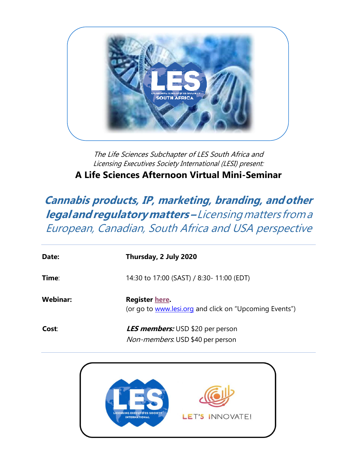

The Life Sciences Subchapter of LES South Africa and Licensing Executives Society International (LESI) present: **A Life Sciences Afternoon Virtual Mini-Seminar**

**Cannabis products, IP, marketing, branding, andother legalandregulatorymatters–**Licensingmatters froma European, Canadian, South Africa and USA perspective

| Date:           | Thursday, 2 July 2020                                                       |
|-----------------|-----------------------------------------------------------------------------|
| Time:           | 14:30 to 17:00 (SAST) / 8:30- 11:00 (EDT)                                   |
| <b>Webinar:</b> | Register here.<br>(or go to www.lesi.org and click on "Upcoming Events")    |
| Cost:           | <b>LES members:</b> USD \$20 per person<br>Non-members. USD \$40 per person |

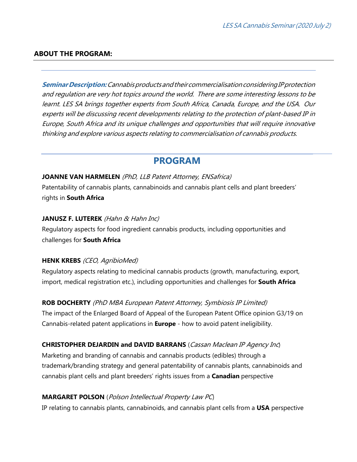### **ABOUT THE PROGRAM:**

**SeminarDescription:**CannabisproductsandtheircommercialisationconsideringIPprotection and regulation are very hot topics around the world. There are some interesting lessons to be learnt. LES SA brings together experts from South Africa, Canada, Europe, and the USA. Our experts will be discussing recent developments relating to the protection of plant-based IP in Europe, South Africa and its unique challenges and opportunities that will require innovative thinking and explore various aspects relating to commercialisation of cannabis products.

# **PROGRAM**

### **JOANNE VAN HARMELEN** (PhD, LLB Patent Attorney, ENSafrica)

Patentability of cannabis plants, cannabinoids and cannabis plant cells and plant breeders' rights in **South Africa**

### **JANUSZ F. LUTEREK** (Hahn & Hahn Inc)

Regulatory aspects for food ingredient cannabis products, including opportunities and challenges for **South Africa**

### **HENK KREBS** (CEO, AgribioMed)

Regulatory aspects relating to medicinal cannabis products (growth, manufacturing, export, import, medical registration etc.), including opportunities and challenges for **South Africa**

## **ROB DOCHERTY** (PhD MBA European Patent Attorney, Symbiosis IP Limited)

The impact of the Enlarged Board of Appeal of the European Patent Office opinion G3/19 on Cannabis-related patent applications in **Europe** - how to avoid patent ineligibility.

### **CHRISTOPHER DEJARDIN and DAVID BARRANS** (Cassan Maclean IP Agency Inc)

Marketing and branding of cannabis and cannabis products (edibles) through a trademark/branding strategy and general patentability of cannabis plants, cannabinoids and cannabis plant cells and plant breeders' rights issues from a **Canadian** perspective

### **MARGARET POLSON** (Polson Intellectual Property Law PC)

IP relating to cannabis plants, cannabinoids, and cannabis plant cells from a **USA** perspective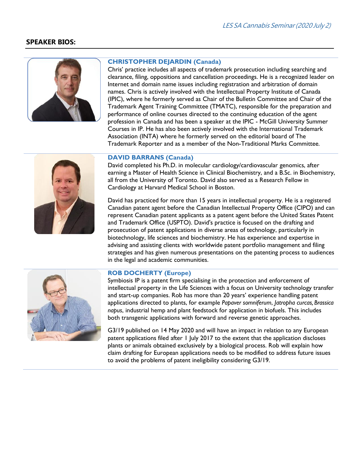### **SPEAKER BIOS:**



#### **CHRISTOPHER DEJARDIN (Canada)**

Chris' practice includes all aspects of trademark prosecution including searching and clearance, filing, oppositions and cancellation proceedings. He is a recognized leader on Internet and domain name issues including registration and arbitration of domain names. Chris is actively involved with the Intellectual Property Institute of Canada (IPIC), where he formerly served as Chair of the Bulletin Committee and Chair of the Trademark Agent Training Committee (TMATC), responsible for the preparation and performance of online courses directed to the continuing education of the agent profession in Canada and has been a speaker at the IPIC - McGill University Summer Courses in IP. He has also been actively involved with the International Trademark Association (INTA) where he formerly served on the editorial board of The Trademark Reporter and as a member of the Non-Traditional Marks Committee.



David completed his Ph.D. in molecular cardiology/cardiovascular genomics, after earning a Master of Health Science in Clinical Biochemistry, and a B.Sc. in Biochemistry, all from the University of Toronto. David also served as a Research Fellow in Cardiology at Harvard Medical School in Boston.

David has practiced for more than 15 years in intellectual property. He is a registered Canadian patent agent before the Canadian Intellectual Property Office (CIPO) and can represent Canadian patent applicants as a patent agent before the United States Patent and Trademark Office (USPTO). David's practice is focused on the drafting and prosecution of patent applications in diverse areas of technology, particularly in biotechnology, life sciences and biochemistry. He has experience and expertise in advising and assisting clients with worldwide patent portfolio management and filing strategies and has given numerous presentations on the patenting process to audiences in the legal and academic communities.



#### **ROB DOCHERTY (Europe)**

Symbiosis IP is a patent firm specialising in the protection and enforcement of intellectual property in the Life Sciences with a focus on University technology transfer and start-up companies. Rob has more than 20 years' experience handling patent applications directed to plants, for example *Papaver somniferum*, *Jatropha curcas, Brassica napus*, industrial hemp and plant feedstock for application in biofuels. This includes both transgenic applications with forward and reverse genetic approaches.

G3/19 published on 14 May 2020 and will have an impact in relation to any European patent applications filed after 1 July 2017 to the extent that the application discloses plants or animals obtained exclusively by a biological process. Rob will explain how claim drafting for European applications needs to be modified to address future issues to avoid the problems of patent ineligibility considering G3/19.